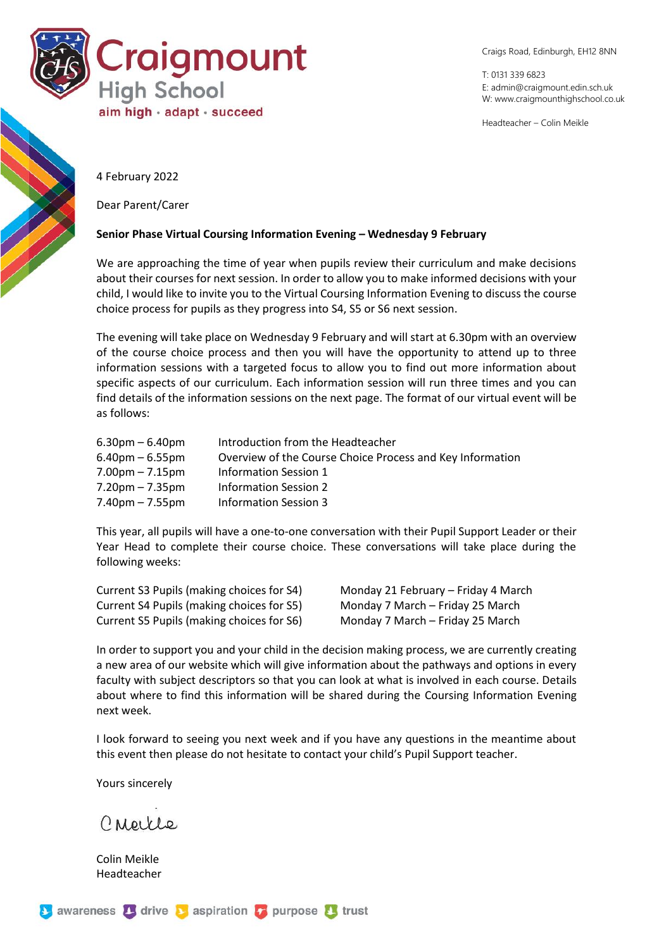

Craigs Road, Edinburgh, EH12 8NN

T: 0131 339 6823 E: [admin@craigmount.edin.sch.uk](mailto:admin@craigmount.edin.sch.uk) W[: www.craigmounthighschool.co.uk](http://www.craigmounthighschool.co.uk/)

Headteacher – Colin Meikle

4 February 2022

Dear Parent/Carer

## **Senior Phase Virtual Coursing Information Evening – Wednesday 9 February**

We are approaching the time of year when pupils review their curriculum and make decisions about their courses for next session. In order to allow you to make informed decisions with your child, I would like to invite you to the Virtual Coursing Information Evening to discuss the course choice process for pupils as they progress into S4, S5 or S6 next session.

The evening will take place on Wednesday 9 February and will start at 6.30pm with an overview of the course choice process and then you will have the opportunity to attend up to three information sessions with a targeted focus to allow you to find out more information about specific aspects of our curriculum. Each information session will run three times and you can find details of the information sessions on the next page. The format of our virtual event will be as follows:

| $6.30pm - 6.40pm$                 | Introduction from the Headteacher                         |
|-----------------------------------|-----------------------------------------------------------|
| $6.40$ pm $- 6.55$ pm             | Overview of the Course Choice Process and Key Information |
| $7.00pm - 7.15pm$                 | Information Session 1                                     |
| $7.20 \text{pm} - 7.35 \text{pm}$ | Information Session 2                                     |
| $7.40$ pm – $7.55$ pm             | Information Session 3                                     |

This year, all pupils will have a one-to-one conversation with their Pupil Support Leader or their Year Head to complete their course choice. These conversations will take place during the following weeks:

Current S3 Pupils (making choices for S4) Monday 21 February – Friday 4 March Current S4 Pupils (making choices for S5) Monday 7 March – Friday 25 March Current S5 Pupils (making choices for S6) Monday 7 March – Friday 25 March

In order to support you and your child in the decision making process, we are currently creating a new area of our website which will give information about the pathways and options in every faculty with subject descriptors so that you can look at what is involved in each course. Details about where to find this information will be shared during the Coursing Information Evening next week.

I look forward to seeing you next week and if you have any questions in the meantime about this event then please do not hesitate to contact your child's Pupil Support teacher.

Yours sincerely

Creice

Colin Meikle Headteacher